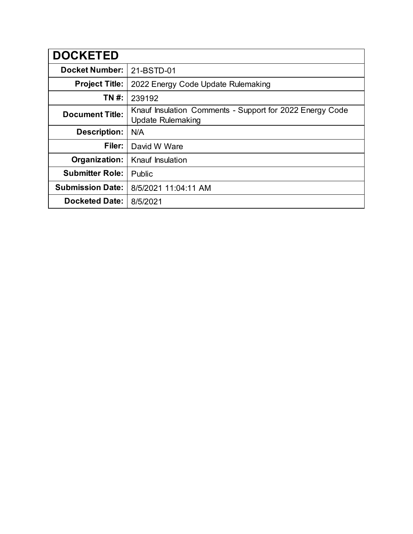| <b>DOCKETED</b>         |                                                                                      |  |  |
|-------------------------|--------------------------------------------------------------------------------------|--|--|
| <b>Docket Number:</b>   | 21-BSTD-01                                                                           |  |  |
| <b>Project Title:</b>   | 2022 Energy Code Update Rulemaking                                                   |  |  |
| TN #:                   | 239192                                                                               |  |  |
| <b>Document Title:</b>  | Knauf Insulation Comments - Support for 2022 Energy Code<br><b>Update Rulemaking</b> |  |  |
| <b>Description:</b>     | N/A                                                                                  |  |  |
| Filer:                  | David W Ware                                                                         |  |  |
| Organization:           | Knauf Insulation                                                                     |  |  |
| <b>Submitter Role:</b>  | Public                                                                               |  |  |
| <b>Submission Date:</b> | 8/5/2021 11:04:11 AM                                                                 |  |  |
| <b>Docketed Date:</b>   | 8/5/2021                                                                             |  |  |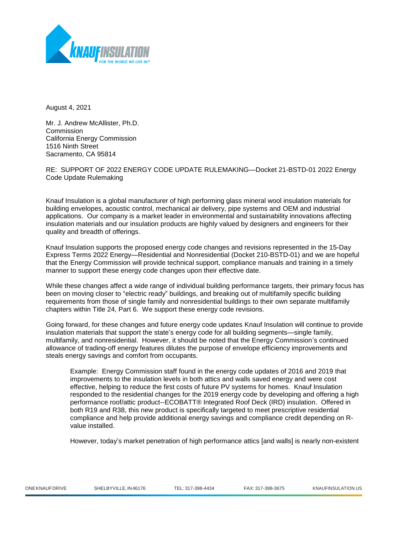

August 4, 2021

Mr. J. Andrew McAllister, Ph.D. Commission California Energy Commission 1516 Ninth Street Sacramento, CA 95814

RE: SUPPORT OF 2022 ENERGY CODE UPDATE RULEMAKING—Docket 21-BSTD-01 2022 Energy Code Update Rulemaking

Knauf Insulation is a global manufacturer of high performing glass mineral wool insulation materials for building envelopes, acoustic control, mechanical air delivery, pipe systems and OEM and industrial applications. Our company is a market leader in environmental and sustainability innovations affecting insulation materials and our insulation products are highly valued by designers and engineers for their quality and breadth of offerings.

Knauf Insulation supports the proposed energy code changes and revisions represented in the 15-Day Express Terms 2022 Energy—Residential and Nonresidential (Docket 210-BSTD-01) and we are hopeful that the Energy Commission will provide technical support, compliance manuals and training in a timely manner to support these energy code changes upon their effective date.

While these changes affect a wide range of individual building performance targets, their primary focus has been on moving closer to "electric ready" buildings, and breaking out of multifamily specific building requirements from those of single family and nonresidential buildings to their own separate multifamily chapters within Title 24, Part 6. We support these energy code revisions.

Going forward, for these changes and future energy code updates Knauf Insulation will continue to provide insulation materials that support the state's energy code for all building segments—single family, multifamily, and nonresidential. However, it should be noted that the Energy Commission's continued allowance of trading-off energy features dilutes the purpose of envelope efficiency improvements and steals energy savings and comfort from occupants.

Example: Energy Commission staff found in the energy code updates of 2016 and 2019 that improvements to the insulation levels in both attics and walls saved energy and were cost effective, helping to reduce the first costs of future PV systems for homes. Knauf Insulation responded to the residential changes for the 2019 energy code by developing and offering a high performance roof/attic product--ECOBATT® Integrated Roof Deck (IRD) insulation. Offered in both R19 and R38, this new product is specifically targeted to meet prescriptive residential compliance and help provide additional energy savings and compliance credit depending on Rvalue installed.

However, today's market penetration of high performance attics [and walls] is nearly non-existent

|  | ONE KNAUF DRIVE |
|--|-----------------|
|  |                 |

ONEKNAUFDRIVE SHELBYVILLE,IN46176 TEL: 317-398-4434 FAX: 317-398-3675 KNAUFINSULATION.US